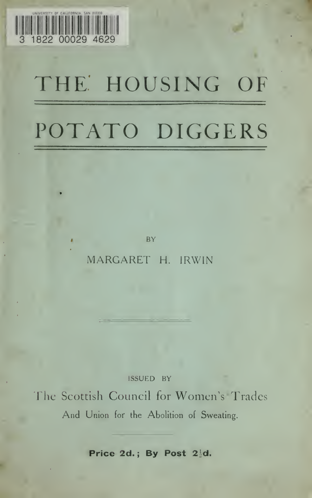

# THE HOUSING OF POTATO DIGGERS

BY MARGARET H. IRWIN

#### ISSUED BY

The Scottish Council for Women's Trades And Union for the Abolition of Sweating.

Price 2d.; By Post 2.d.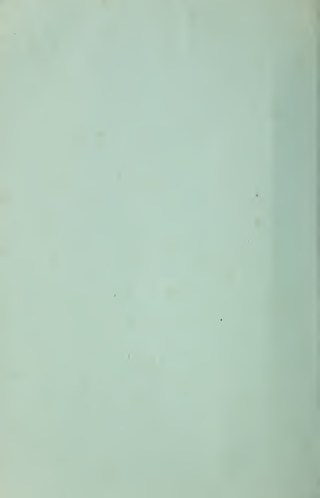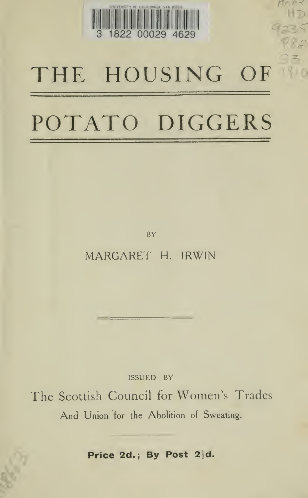

# THE HOUSING OF POTATO DIGGERS

### BY MARGARET H. IRWIN

#### ISSUED BY

The Scottish Council for Women's Trades And Union for the Abolition of Sweating.

Price 2d.; By Post  $2\frac{1}{2}d$ .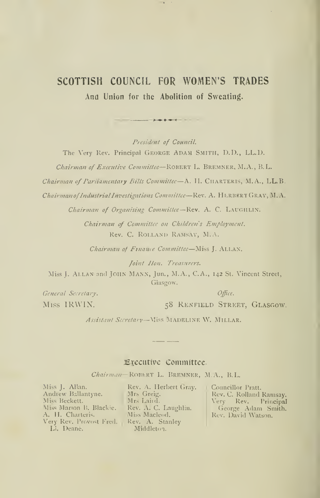### SCOTTISH COUNCIL FOR WOMEN'S TRADES And Union for the Abolition of Sweating.

President of Council.

 $\rightarrow$ 

The Very Rev. Principal GEORGE ADAM SMITH, D.D., LL.D.

Chairman of Executive Committee-ROBERT L. BREMNER, M.A., B.L.

Chairman of Pariiamentary Bills Committee—A. H. CHARTERIS, M.A., LL.B.

Chairman ofIndustrialInvestigations Committee—Rev. A. HERBERT Gray, M.A.

Chairman of Organising Committee-Rev. A. C. LAUGHLIN.

Chairman of Committee on Children's Employment. Rev. C. RoLLANi) Ramsay, M.A.

Chairman of Finance Committee—Miss J. Ali.AN.

/oint Hon. Treasurers. Miss J. ALLAN and JOHN MANN, Jun., M.A., C.A., 142 St. Vincent Street, Glasgow.

General Secretary.  $O$ ffice.

MISS IRWIN. 58 RENFIELD STREET, GLASGOW,

Assistant Secretary-Miss MADELINE W. MILLAR.

#### Breciitivc Committee.

—— *-*——

Chairman-ROBERT L. BREMNER, M.A., B.L.

Very Rev. Provost Fred. Rev. A. Stanley<br>Li, Deane. Middleton. Li. Deane.

. Miss J. Allan. Rev. A. Herbert Gray. Councillor Pratt.<br>Andrew Ballantyne. Mrs Greig. Niss Rev. C. Rolland Ramsay.<br>Miss Beckett. Mrs Laird. Niss Very Rev. Principal Miss Beckett. Mrs Laird. Very Rev. Principal Viss Marion B. Blackie. Rev. A. C. Laughlin. George Adam Smith. Miss Marion B. Blackie. – Rev. A. C. Laughlin. – George Adam Smith. – A. H. Charteris. – Miss Macleod. Rev. David Watson.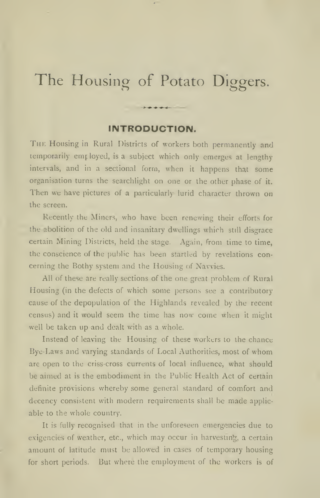# The Housing of Potato Diggers.

#### INTRODUCTION.

THE Housing in Rural Districts of workers both permanently and temporarily employed, is a subject which only emerges at lengthy intervals, and in <sup>a</sup> sectional form, when it happens that some organisation turns the searchlight on one or the other phase of it. Then we have pictures of a particularly lurid character thrown on the screen.

Recently the Miners, who have been renewing their eflforts for the abolition of the old and insanitary dwellings which still disgrace certain Mining Districts, held the stage. Again, from time to time, the conscience of the public has been startled by revelations concerning the Bothy system and the Housing of Navvies.

All of these are really sections of the one great problem of Rural Housing (in the defects of which some persons see a contributory cause of the depopulation of the Highlands revealed by the recent census) and it would seem the time has now come when it might well be taken up and dealt with as a whole.

Instead of leaving the Housing of these workers to the chance Bye-Laws and varying standards of Local Authorities, most of whom are open to the criss-cross currents of local influence, what should be aimed at is the embodiment in the Public Health Act of certain definite provisions whereby some general standard of comfort and decency consistent with modern requirements shall be made applic able to the whole country.

It is fully recognised that in the unforeseen emergencies due to exigencies of weather, etc., which may occur in harvesting, a certain amount of latitude must be allowed in cases of temporary housing for short periods. But where the employment of the workers is of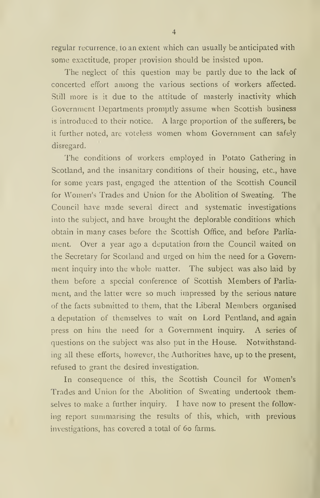regular recurrence, to an extent which can usually be anticipated with some exactitude, proper provision should be insisted upon.

The neglect of this question may be partly due to the lack of concerted effort among the various sections of workers affected. Still more is it due to the attitude of masterly inactivity which Government Departments promptly assume when Scottish business is introduced to their notice. A large proportion of the sufferers, be it further noted, are voteless women whom Government can safely disregard.

The conditions of workers employed in Potato Gathering in Scotland, and the insanitary conditions of their housing, etc., have for some years past, engaged the attention of the Scottish Council for Women's Trades and Union for the Abolition of Sweating. The Council have made several direct and systematic investigations into the subject, and have brought the deplorable conditions which obtain in many cases before the Scottish Office, and before Parlia ment. Over a year ago a deputation from the Council waited on the Secretary for Scotland and urged on him the need for a Govern ment inquiry into the whole matter. The subject was also laid by them before a special conference of Scottish Members of Parlia ment, and the latter were so much impressed by the serious nature of the facts submitted to them, that the Liberal Members organised a deputation of themselves to wait on Lord Pentland, and again press on him the need for <sup>a</sup> Government inquiry. A series of questions on the subject was also put in the House. Notwithstanding all these efforts, however, the Authorities have, up to the present, refused to grant the desired investigation.

In consequence of this, the Scottish Council for Women's Trades and Union for the Abolition of Sweating undertook themselves to make a further inquiry. I have now to present the following report summarising the results of this, which, with previous investigations, has covered a total of 60 farms.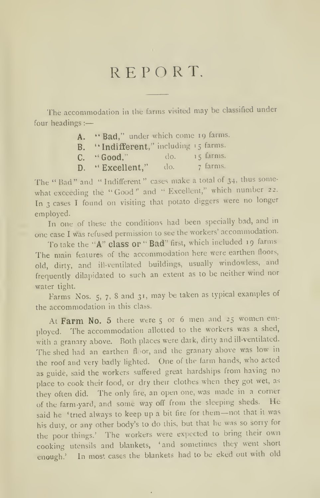## REPORT.

The accommodation in the farms visited may be classified under four headings :

| A.          | "Bad," under which come 19 farms.  |                 |          |
|-------------|------------------------------------|-----------------|----------|
| <b>B.</b>   | "Indifferent," including 15 farms. |                 |          |
| $C_{\star}$ | $\cdot$ Good,"                     | $do.$ 15 farms. |          |
|             | D. "Excellent,"                    | $d_{0}$ .       | 7 farms. |

The "Bad" and "Indifferent" cases make a total of 34, thus somewhat exceeding the "Good" and "Excellent," which number 22. In 3 cases I found on visiting that potato diggers were no longer employed.

In one of these the conditions had been specially bnd, and in one case <sup>I</sup> Was refused permission to see the workers' accommodation.

To take the "A" class or "Bad" first, which included 19 farms The main features of the accommodation here were earthen floors, old, dirty, and ill-ventilated buildings, usually windowless, and frequently dilapidated to such an extent as to be neither wind nor water tight.

Farms Nos. 5, 7, <sup>8</sup> and 31, may be taken as typical examples of the accommodation in this class.

At Farm No. 5 there were 5 or 6 men and 25 women employed. The accommodation allotted to the workers was <sup>a</sup> shed, with <sup>a</sup> granary above. Both places were dark, dirty and ill-ventilated. The shed had an earthen floor, and the granary above was low in the roof and very badly lighted. One of the farm hands, who acted as guide, said the workers suffered great hardships from having no place to cook their food, or dry their clothes when they got wet, as they often did. The only fire, an open one, was made in <sup>a</sup> corner of the farm-yard, and some way off from the sleeping sheds. He said he 'tried always to keep up a bit fire for them—not that it was his duly, or any other body's to do this, but that he was so sorry for the poor things.' The workers were expected to bring their own cooking utensils and blankets, 'and sometimes they went short enough.' In most cases the blankets had to be eked out with old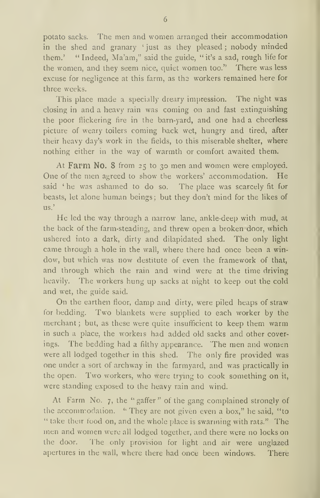potato sacks. The men and women arranged their accommodation in the shed and granary 'just as they pleased; nobody minded them.' "Indeed, Ma'am," said the guide, "it's a sad, rough life for the women, and they seem nice, quiet women too." There was less excuse for negligence at this farm, as the workers remained here for three weeks.

This place made <sup>a</sup> specially dreary impression. The night was closing in and a heavy rain was coming on and fast extinguishing the poor flickering fire in the barn-yard, and one had a cheerless picture of weary toilers coming back wet, hungry and tired, after their heavy day's work in the fields, to this miserable shelter, where nothing either in the way of warmth or comfort awaited them.

At Farm No. 8 from <sup>25</sup> to 30 men and women were employed. One of the men agreed to show the workers' accommodation. He said ' he was ashamed to do so. The place was scarcely fit for beasts, let alone human beings; but they don't mind for the likes of  $\overline{\text{us}}$ .

He led the way through <sup>a</sup> narrow lane, ankle-deep with mud, at the back of the farm-steading, and threw open a broken door, which ushered into a dark, dirty and dilapidated shed. The only light came through a hole in the wall, where there had once been a win dow, but which was now destitute of even the framework of that, and through which the rain and wind were at the time driving heavily. The workers hung up sacks at night to keep out the cold and wet, the guide said.

On the earthen floor, damp and dirty, were piled heaps of straw for bedding. Two blankets were supplied to each worker by the merchant; but, as these were quite insufficient to keep them warm in such a place, the workeis had added old sacks and other coverings. The bedding had a filthy appearance. "The men and women were all lodged together in this shed. The only fire provided was one under a sort of archway in the farmyard, and was practically in the open. Two workers, who were trying to cook something on it, were standing exposed to the heavy rain and wind.

At Farm No. 7, the "gaffer" of the gang complained strongly of the accommodation. " They are not given even a box," he said, "to " take their food on, and the whole place is swarming with rats." The men and women were all lodged together, and there were no locks on the door. The only provision for light and air were unglazed apertures in the wall, where there had once been windows. There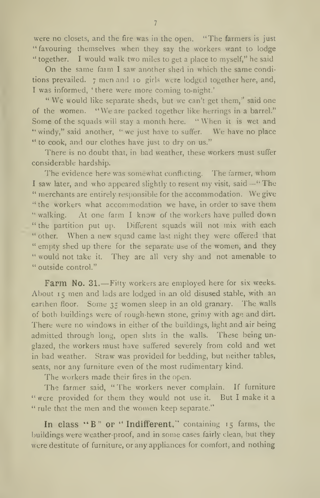were no closets, and the fire was in the open. "The farmers is just " favouring themselves when they say the workers want to lodge " together. <sup>I</sup> would walk two miles to get <sup>a</sup> place to myself," he said.

On the same farm <sup>I</sup> saw another shed in which the same conditions prevailed. <sup>7</sup> men and 10 girls were lodged together here, and, <sup>I</sup> was informed, 'there were more coming to-night.'

" We would like separate sheds, but we can't get them," said one of the women. "We are packed together like herrings in <sup>a</sup> barrel." Some of the squads will stay a month here. " When it is wet and " windy," said another, " we just have to suffer. We have no place " to cook, and our clothes have just to dry on us."

There is no doubt that, in bad weather, these workers must suffer considerable hardship.

The evidence here was somewhat conflicting. The farmer, whom <sup>I</sup> saw later, and who appeared slightly to resent my visit, said—"The " merchants are entirely responsible for the accommodation. We give "the workers what accommodation we have, in order to save them " walking. At one farm <sup>I</sup> know of the workers have pulled down " the partition put up. Different squads will not mix with each " other. When a new squad came last night they were offered that " empty shed up there for the separate use of the women, and they " would not take it. They are all very shy and not amenable to " outside control."

Farm No. 31.—Fifty workers are employed here for six weeks. About 15 men and lads arc lodged in an old disused stable, with an earthen floor. Some 35 women sleep in an old granary. The walls of both buildings were of rough-hewn stone, grimy with age and dirt. There were no windows in either of the buildings, light and air being admitted through long, open slits in the walls. These being unglazed, the workers must have suffered severely from cold and wet in bad weather. Straw was provided for bedding, but neither tables, seats, nor any furniture even of the most rudimentary kind.

The workers made their fires in the open.

The farmer said, "The workers never complain. If furniture " were provided for them they would not use it. But I make it a " rule that the men and the women keep separate."

In class "B" or " Indifferent," containing  $15$  farms, the buildings were weather-proof, and in some cases fairly clean, but they were destitute of furniture, or any appliances for comfort, and nothing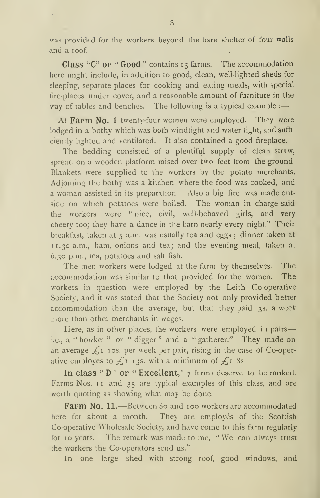was provided for the workers beyond the bare shelter of four walls and a roof.

Class "C" OP "Good" contains <sup>15</sup> farms. The accommodation here might include, in addition to good, clean, well-lighted sheds for sleeping, separate places for cooking and eating meals, with special fire-places under cover, and a reasonable amount of furniture in the way of tables and benches. The following is a typical example :-

At Farm No. 1 twenty-four women were employed. They were lodged in a bothy which was both windtight and water tight, and sufh ciently lighted and ventilated. It also contained a good fireplace.

The bedding consisted of a plentiful supply of clean straw, spread on a wooden platform raised over two feet from the ground. Blankets were supplied to the workers by the potato merchants. Adjoining the bothy was a kitchen where the food was cooked, and a woman assisted in its preparation. Also <sup>a</sup> big fire was made outside on which potatoes were boiled. The woman in charge said the workers were " nice, civil, well-behaved girls, and very cheery too; they have a dance in the barn nearly every night." Their breakfast, taken at <sup>5</sup> a.m. was usually tea and eggs ; dinner taken at 11.30 a.m., ham, onions and tea; and the evening meal, taken at 6.30 p.m., tea, potatoes and salt fish.

The men workers were lodged at the farm by themselves. The accommodation was similar to that provided for the women. The workers in question were employed by the Leith Co-operative Society, and it was stated that the Society not only provided better accommodation than the average, but that they paid 3s. a week more than other merchants in wages.

Here, as in other places, the workers were employed in pairs i.e., a " howker " or " digger " and a ' gatherer." They made on an average  $f_{\lambda}$  ros. per week per pair, rising in the case of Co-operative employes to  $\mathcal{L}$ 1 13s. with a minimum of  $\mathcal{L}$ 1 8s

In class " $D$ " or "Excellent,"  $7$  farms deserve to be ranked. Farms Nos. 11 and 35 are typical examples of this class, and are worth quoting as showing what may be done.

Farm No. 11. - Between 80 and 100 workers are accommodated here for about a month. They are employés of the Scottish Co-operative Wholesale Society, and have come to this farm regularly for 10 years. The remark was made to me, ''We can always trust the workers the Co-operators send us.''

In one large shed with strong roof, good windows, and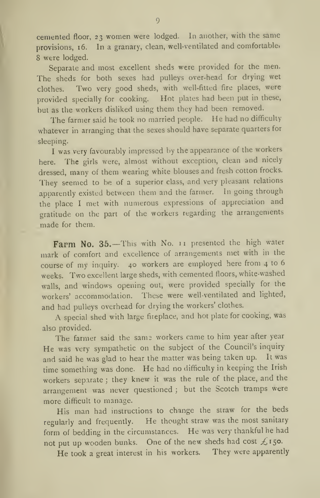cemented floor, <sup>23</sup> women were lodged. In another, with the same provisions, 16. In a granary, clean, well-ventilated and comfortable, 8 were lodged.

Separate and most excellent sheds were provided for the men. The sheds for both sexes had pulleys over-head for drying wet clothes. Two very good sheds, with well-fitted fire places, were provided specially for cooking. Hot plates had been put in these, but as the workers disliked using them they had been removed.

The farmer said he took no married people. He had no difficulty whatever in arranging that the sexes should have separate quarters for sleeping.

<sup>I</sup> was very favourably impressed by the appearance of the workers here. The girls were, almost without exception, clean and nicely dressed, many of them wearing while blouses and fresh cotton frocks. They seemed to be of a superior class, and very pleasant relations apparently existed between them and the farmer. In going through the place <sup>I</sup> met with numerous expressions of appreciation and gratitude on the part of the workers regarding the arrangements made for them.

Farm No. 35.-This with No. 11 presented the high water mark of comfort and excellence of arrangements met with in the course of my inquiry. 40 workers are employed here from <sup>4</sup> to <sup>6</sup> weeks. Two excellent large sheds, with cemented floors, white-washed walls, and windows opening out, were provided specially for the workers' accommodation. These were well-ventilated and lighted, and had pulleys overhead for drying the workers' clothes.

A special shed with large fireplace, and hot plate for cooking, was also provided.

The farmer said the same workers came to him year after year He was very sympathetic on the subject of the Council's inquiry and said he was glad to hear the matter was being taken up. It was time something was done. He had no difficulty in keeping the Irish workers separate ; they knew it was the rule of the place, and the arrangement was never questioned ; but the Scotch tramps were more difficult to manage.

His man had instructions to change the straw for the beds regularly and frequently. He thought straw was the most sanitary form of bedding in the circumstances. He was very thankful he had not put up wooden bunks. One of the new sheds had cost  $\angle$  150.

He took <sup>a</sup> great interest in his workers. They were apparently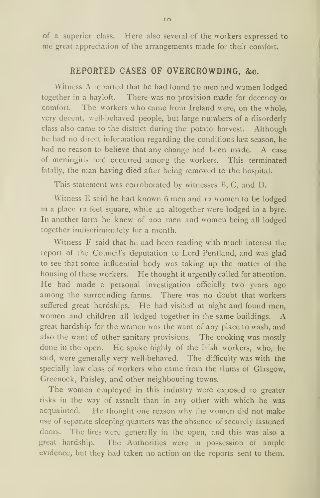of a superior class. Here also several of the workers expressed to me great appreciation of the arrangements made for their comfort.

#### REPORTED CASES OF OVERCROWDING, &c.

Witness A reported that he had found <sup>70</sup> men and women lodged together in a hayloft. There was no provision made for decency or comfort. The workers who came from Ireland were, on the whole, very decent, well-behaved people, but large numbers of a disorderly class also came to the district during the potato harvest. Although he had no direct information regarding the conditions last season, he had no reason to believe that any change had been made. A case of meningitis had occurred among the workers. This terminated fatally, the man having died after being removed to the hospital.

This statement was corroborated by witnesses B, C, and D.

Witness E said he had known <sup>6</sup> men and <sup>12</sup> women to be lodged in a place 12 feet square, while 40 altogether were lodged in a byre. In another farm he knew of 200 men and women being all lodged together indiscriminately for a month.

Witness F said that he had been reading with much interest the report of the Council's deputation to Lord Pentland, and was glad to see that some influential body was taking up the matter of the housing of these workers. He thought it urgently called for attention. He had made <sup>a</sup> personal investigation officially two years ago among the surrounding farms. There was no doubt that workers suffered great hardships. He had visited at night and found men, women and children all lodged together in the same buildings. A great hardship for the women was the want of any place to wash, and also the want of other sanitary provisions. The cooking was mostly done in the open. He spoke highly of the Irish workers, who, he said, were generally very well-behaved. The difficulty was with the specially low class of workers who came from the slums of Glasgow, Greenock, Paisley, and other neighbouring towns.

The women employed in this industry were exposed <sup>10</sup> greater risks in the way of assault than in any other with which he was acquainted. He thought one reason why the women did not make use of separate sleeping quarters was the absence of securely fastened doors. The fires were generally in the open, and this was also a great hardship. The Authorities were in possession of ample evidence, but they had taken no action on the reports sent to them.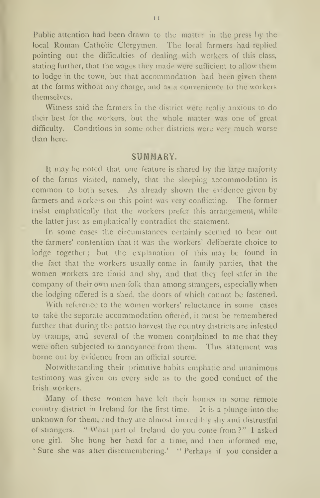Public attention had been drawn to the matter in the press by the local Roman Catholic Clergymen. The local farmers had replied pointing out the difficulties of dealing with workers of this class, stating further, that the wages they made were sufficient to allow them to lodge in the town, but that accommodation had been given them at the farms without any charge, and as a convenience to the workers themselves.

Witness said the farmers in the district were really anxious to do their best for the workers, but the whole matter was one of great difficulty. Conditions in some other districts were very much worse than here.

#### SUMMARY.

It may be noted that one feature is shared by the large majority of the farms visited, namely, that the sleeping accommodation is common to both sexes. As already shown the evidence given by farmers and workers on this point was very conflicting. The former insist emphatically that the workers prefer this arrangement, while the latter just as emphatically contradict the statement.

In some cases the circumstances certainly seemed to bear out the farmers' contention that it was the workers' deliberate choice to lodge together; but the explanation of this may be found in the fact that the workers usually come in family parties, that the women workers are timid and shy, and that they feel safer in the company of their own men-folk than among strangers, especially when the lodging offered is a shed, the doors of which cannot be fastened.

With reference to the women workers' reluctance in some cases to take the separate accommodation oflered, it must be remembered further that during the potato harvest the country districts are infested by tramps, and several of the women complained to me that they were often subjected to annoyance from them. This statement was borne out by evidence from an official source.

Notwithstanding their primitive habits emphatic and unanimous testimony was given on every side as to the good conduct of the Irish workers.

Many of these women have left their homes in some remote country district in Ireland for the first time. It is a plunge into the unknown for them, and they are almost incredibly shy and distrustful of strangers. " What part of Ireland do you come from?" I asked one girl. She hung her head for <sup>a</sup> time, and then informed me, 'Sure she was after disremembering.' " Perhaps if you consider a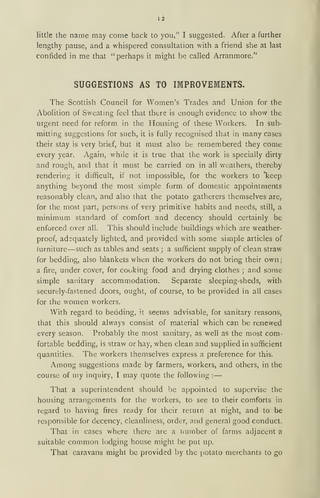little the name may come back to you," <sup>I</sup> suggested. After a further lengthy pause, and a whispered consultation with a friend she at last confided in me that "perhaps it might be called Arranmore."

#### SUGGESTIONS AS TO IMPROVEMENTS.

The Scottish Council for Women's Trades and Union for the Abolition of Sweating feel that there is enough evidence to show the urgent need for reform in the Housing of these Workers. In sub mitting suggestions for such, it is fully recognised that in many cases their stay is very brief, but it must also be remembered they come every year. Again, while it is true that the work is specially dirty and rough, and that it must be carried on in all weathers, thereby rendering it difficult, if not impossible, for the workers to "keep anything beyond the most simple form of domestic appointments reasonably clean, and also that the potato gatherers themselves are, for the most part, persons of very primitive habits and needs, still, a minimum standard of comfort and decency should certainly be enforced over all. This should include buildings which are weatherproof, adequately lighted, and provided with some simple articles of furniture—such as tables and seats ; <sup>a</sup> sufficient supply of clean straw for bedding, also blankets when the workers do not bring their own; a fire, under cover, for cooking food and drying clothes ; and some simple sanitary accommodation. Separate sleeping-sheds, with securely-fastened doors, ought, of course, to be provided in all cases for the women workers.

With regard to bedding, it seems advisable, for sanitary reasons, that this should always consist of material which can be renewed every season. Probably the most sanitary, as well as the most comfortable bedding, is straw or hay, when clean and supplied in sufficient quantities. The workers themselves express <sup>a</sup> preference for this.

Among suggestions made by farmers, workers, and others, in the course of my inquiry, I may quote the following :-

That a superintendent should be appointed to supervise the housing arrangements for the workers, to see to their comforts in regard to having fires ready for their return at night, and to be responsible for decency, cleanliness, order, and general good conduct.

That in cases where there are a number of farms adjacent a suitable common lodging house might be put up.

That caravans might be provided by the potato merchants to go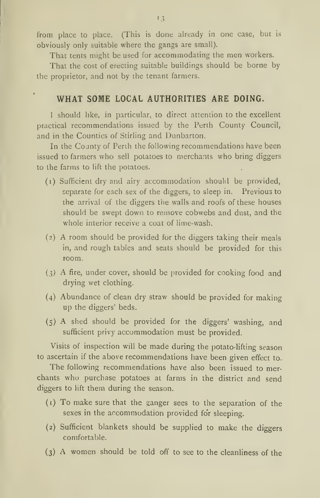from place to place. (This is done already in one case, but is obviously only suitable where the gangs are small).

That tents might be used for accommodating the men workers.

That the cost of erecting suitable buildings should be borne by the proprietor, and not by the tenant farmers.

#### WHAT SOME LOCAL AUTHORITIES ARE DOING.

<sup>I</sup> should like, in particular, to direct attention to the excellent practical recommendations issued by the Perth County Council, and in the Counties of Stirling and Dunbarton.

In the County of Perth the following recommendations have been issued to farmers who sell potatoes to merchants who bring diggers to the farms to lift the potatoes.

- (i) Sufficient dry and airy accommodation should be provided, separate for each sex of the diggers, to sleep in. Previous to the arrival of the diggers the walls and roofs of these houses should be swept down to remove cobwebs and dust, and the whole interior receive a coat of lime-wash.
- (2) A room should be provided for the diggers taking their meals in, and rough tables and seats should be provided for this room.
- (3) A fire, under cover, should be provided for cooking food and drying wet clothing.
- (4) Abundance of clean dry straw should be provided for making up the diggers' beds.
- (5) A shed should be provided for the diggers' washing, and sufficient privy accommodation must be provided.

Visits of inspection will be made during the potato-lifting season to ascertain if the above recommendations have been given effect to.

The following recommendations have also been issued to merchants who purchase potatoes at farms in the district and send diggers to lift them during the season.

- (i) To make sure that the ganger sees to the separation of the sexes in the accommodation provided for sleeping.
- {2) Sufficient blankets should be supplied to make the diggers comfortable.
- (3) A women should be told off to see to the cleanliness of the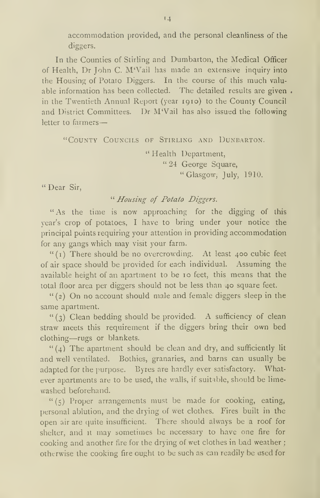accommodation provided, and the personal cleanliness of the diggers.

In the Counties of Stirling and Dumbarton, the Medical Officer of Health, Dr John C. M'Vail has made an extensive inquiry into the Housing of Potato Diggers. In the course of this much valu able information has been collected. The detailed results are given. in the Twentieth Annual Report (year 1910) to the County Council and District Committees. Dr M'Vail has also issued the following letter to farmers

"COUNTY COUNCILS OF STIRLING AND DUNBARTON. " Health Department, " 24 George Square, "Glasgow, July, 1910.

" Dear Sir,

"Housing of Potato Diggers.

"As the time is now approaching for the digging of this year's crop of potatoes, <sup>I</sup> have to bring under your notice the principal points requiring your attention in providing accommodation for any gangs which may visit your farm.

 $``(1)$  There should be no overcrowding. At least 400 cubic feet of air space should be provided for each individual. Assuming the available height of an apartment to be 10 feet, this means that the total floor area per diggers should not be less than 40 square feet.

 $''(2)$  On no account should male and female diggers sleep in the same apartment.

" (3) Clean bedding should be provided. A sufficiency of clean straw meets this requirement if the diggers bring their own bed clothing—rugs or blankets.

 $''(4)$  The apartment should be clean and dry, and sufficiently lit and well ventilated. Bothies, granaries, and barns can usually be adapted for the purpose. Byres are hardly ever satisfactory. Whatever apartments are to be used, the walls, if suitable, should be lime washed beforehand.

"(5) Proper arrangements must be made for cooking, eating, personal ablution, and the drying of wet clothes. Fires built in the open air are quite insufficient. There should always be a roof for shelter, and it may sometimes be necessary to have one fire for cooking and another fire for the drying of wet clothes in bad weather ; otherwise the cooking fire ought to be such as can readily be used for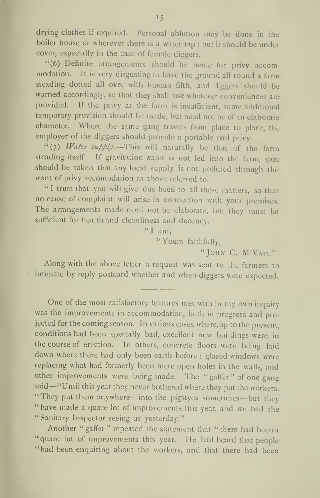drying clothes if required. Personal ablution may be done in the boiler house or wherever there is <sup>a</sup> water tap : but it should be under cover, especially in the case of female diggers.

"(6) Definite arrangements should be made tor privy accom niodation. It is very disgusting to have the ground all round <sup>a</sup> farm steading dotted all over with human filth, and diggers should be warned accordingly, so that they shall use whatever conveniences are provided. If the privy at the farm is insufficient, some additional temporary provision should be made, but need not be of an elaborate character. Where the same gang travels from place to place, the employer of the diggers should provide a portable pail privy.

 $''(7)$  Water supply.—This will naturally be that of the farm steading itself. If gravitation water is not led into the farm, care should be taken that any local supply is not polluted through the want of privy accomodation as above referred to.

" <sup>I</sup> trust that you will give due heed to all these matters, so that no cause of complaint will arise in connection with your premises. The arrangements made need not be elaborate, but they must be sufficient for health and cleanliness and decency.

"I am,

"Yours faithfully,

"JOHN C. M'VAIL."

Along with the above letter <sup>a</sup> request was sent to the farmers to intimate by reply postcard whether and when diggers were expected.

One of the most satisfactory features met with in my own inquiry was the improvements in accommodation, both in progress and pro jected for the coming season. In various cases where,up to the present, conditions had been specially bad, excellent new buildings were in the course of erection. In others, concrete floors were being laid down where there had only been earth before ; glazed windows were replacing what had formerly been mere open holes in the walls, and other improvements were being made. The "gaffer" of one gang said—"Until this year they never bothered where they put the workers. "They put them anywhere—into the pigstyes sometimes—but they "have made a quare lot of improvements this year, and we had the "Sanitary Inspector seeing us yesterday."

Another "gaffer" repeated the statement that "there had been a "quare lot of improvements this year. He had heard that people "had been enquiring about the workers, and that there had been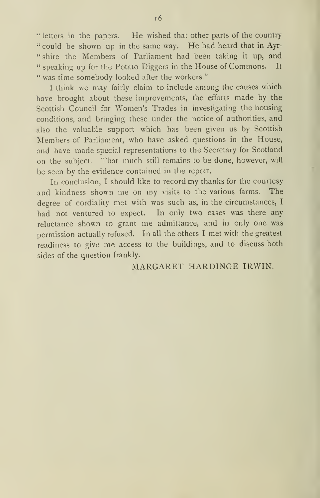" letters in the papers. He wished that other parts of the country " could be shown up in the same way. He had heard that in Ayr-" shire the Members of Parliament had been taking it up, and "speaking up for the Potato Diggers in the House of Commons. It " was time somebody looked after the workers."

<sup>I</sup> think we may fairly claim to include among the causes which have brought about these improvements, the efforts made by the Scottish Council for Women's Trades in investigating the housing conditions, and bringing these under the notice of authorities, and also the valuable support which has been given us by Scottish Members of Parliament, who have asked questions in the House, and have made special representations to the Secretary for Scotland on the subject. That much still remains to be done, however, will be seen by the evidence contained in the report.

In conclusion, <sup>I</sup> should like to record my thanks for the courtesy and kindness shown me on my visits to the various farms. The degree of cordiality met with was such as, in the circumstances, <sup>I</sup> had not ventured to expect. In only two cases was there any reluctance shown to grant me admittance, and in only one was permission actually refused. In all the others <sup>I</sup> met with the greatest readiness to give me access to the buildings, and to discuss both sides of the question frankly.

#### MARGARET HARDINGE IRWIN.